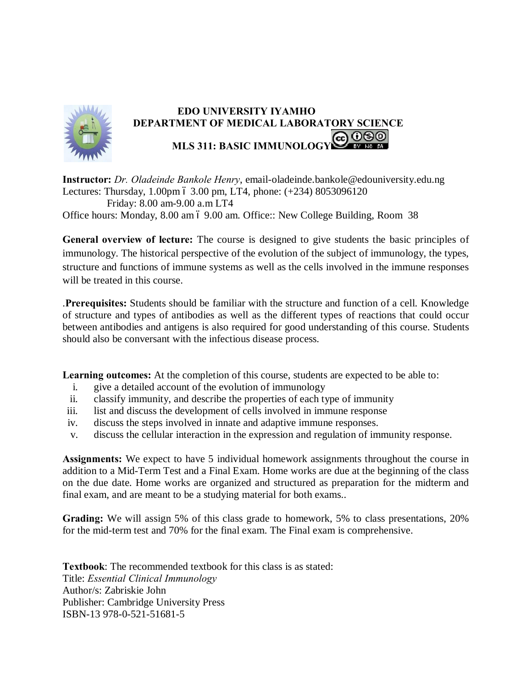

## **EDO UNIVERSITY IYAMHO DEPARTMENT OF MEDICAL LABORATORY SCIENCE MLS 311: BASIC IMMUNOLOGY**

**Instructor:** *Dr. Oladeinde Bankole Henry*, email-oladeinde.bankole@edouniversity.edu.ng Lectures: Thursday,  $1.00 \text{pm}$  ó  $3.00 \text{pm}$ , LT4, phone:  $(+234)$   $8053096120$  Friday: 8.00 am-9.00 a.m LT4 Office hours: Monday, 8.00 am 6 9.00 am. Office:: New College Building, Room 38

**General overview of lecture:** The course is designed to give students the basic principles of immunology. The historical perspective of the evolution of the subject of immunology, the types, structure and functions of immune systems as well as the cells involved in the immune responses will be treated in this course.

.**Prerequisites:** Students should be familiar with the structure and function of a cell. Knowledge of structure and types of antibodies as well as the different types of reactions that could occur between antibodies and antigens is also required for good understanding of this course. Students should also be conversant with the infectious disease process.

**Learning outcomes:** At the completion of this course, students are expected to be able to:

- i. give a detailed account of the evolution of immunology
- ii. classify immunity, and describe the properties of each type of immunity
- iii. list and discuss the development of cells involved in immune response
- iv. discuss the steps involved in innate and adaptive immune responses.
- v. discuss the cellular interaction in the expression and regulation of immunity response.

**Assignments:** We expect to have 5 individual homework assignments throughout the course in addition to a Mid-Term Test and a Final Exam. Home works are due at the beginning of the class on the due date. Home works are organized and structured as preparation for the midterm and final exam, and are meant to be a studying material for both exams..

**Grading:** We will assign 5% of this class grade to homework, 5% to class presentations, 20% for the mid-term test and 70% for the final exam. The Final exam is comprehensive.

**Textbook**: The recommended textbook for this class is as stated: Title: *Essential Clinical Immunology* Author/s: Zabriskie John Publisher: Cambridge University Press ISBN-13 978-0-521-51681-5